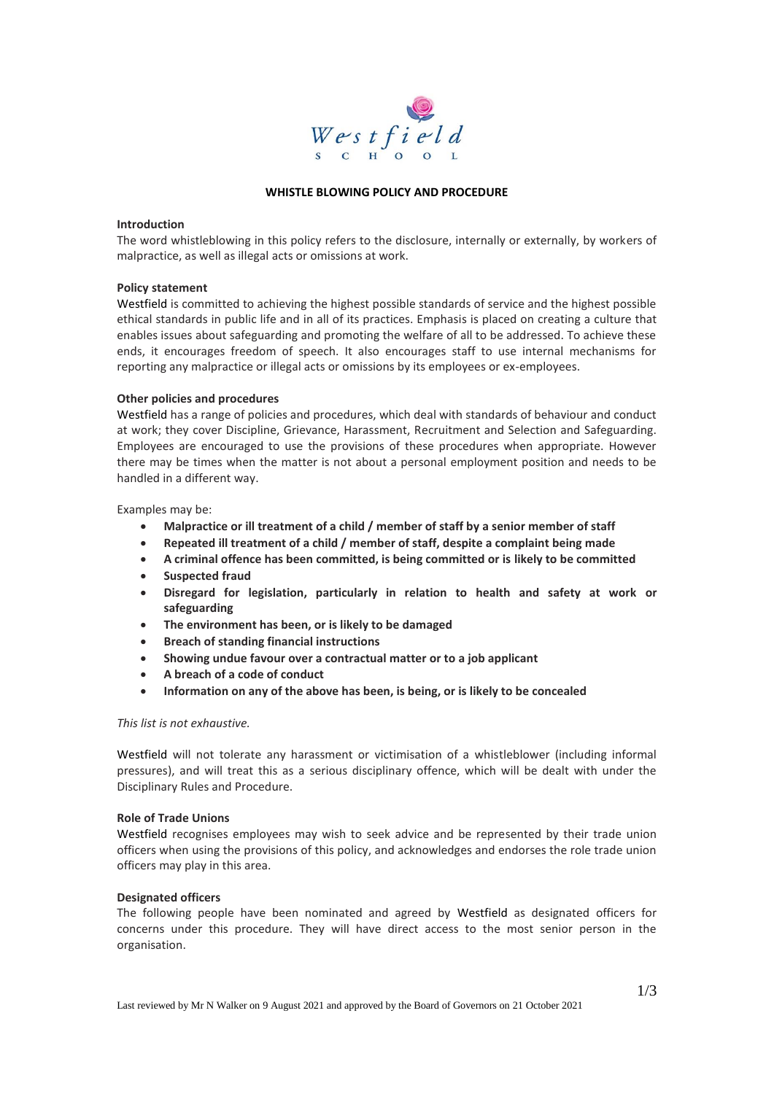

# **WHISTLE BLOWING POLICY AND PROCEDURE**

## **Introduction**

The word whistleblowing in this policy refers to the disclosure, internally or externally, by workers of malpractice, as well as illegal acts or omissions at work.

#### **Policy statement**

Westfield is committed to achieving the highest possible standards of service and the highest possible ethical standards in public life and in all of its practices. Emphasis is placed on creating a culture that enables issues about safeguarding and promoting the welfare of all to be addressed. To achieve these ends, it encourages freedom of speech. It also encourages staff to use internal mechanisms for reporting any malpractice or illegal acts or omissions by its employees or ex-employees.

#### **Other policies and procedures**

Westfield has a range of policies and procedures, which deal with standards of behaviour and conduct at work; they cover Discipline, Grievance, Harassment, Recruitment and Selection and Safeguarding. Employees are encouraged to use the provisions of these procedures when appropriate. However there may be times when the matter is not about a personal employment position and needs to be handled in a different way.

Examples may be:

- **Malpractice or ill treatment of a child / member of staff by a senior member of staff**
- **Repeated ill treatment of a child / member of staff, despite a complaint being made**
- **A criminal offence has been committed, is being committed or is likely to be committed**
- **Suspected fraud**
- **Disregard for legislation, particularly in relation to health and safety at work or safeguarding**
- **The environment has been, or is likely to be damaged**
- **Breach of standing financial instructions**
- **Showing undue favour over a contractual matter or to a job applicant**
- **A breach of a code of conduct**
- **Information on any of the above has been, is being, or is likely to be concealed**

## *This list is not exhaustive.*

Westfield will not tolerate any harassment or victimisation of a whistleblower (including informal pressures), and will treat this as a serious disciplinary offence, which will be dealt with under the Disciplinary Rules and Procedure.

## **Role of Trade Unions**

Westfield recognises employees may wish to seek advice and be represented by their trade union officers when using the provisions of this policy, and acknowledges and endorses the role trade union officers may play in this area.

## **Designated officers**

The following people have been nominated and agreed by Westfield as designated officers for concerns under this procedure. They will have direct access to the most senior person in the organisation.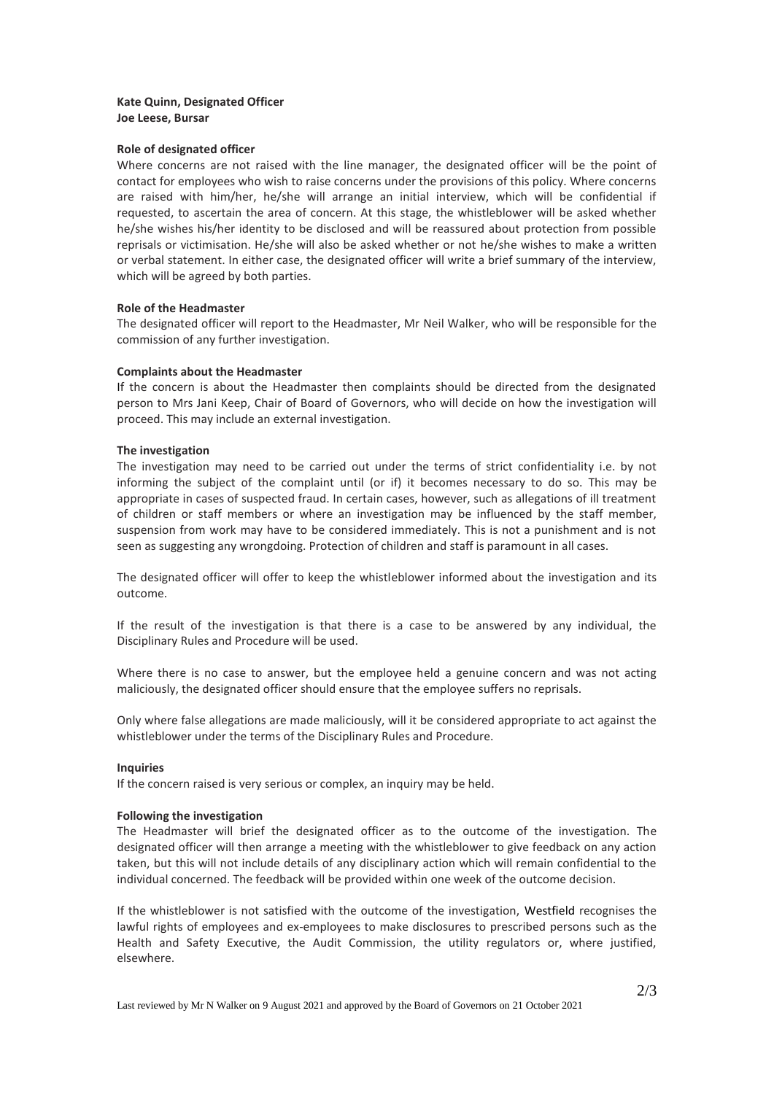## **Kate Quinn, Designated Officer Joe Leese, Bursar**

#### **Role of designated officer**

Where concerns are not raised with the line manager, the designated officer will be the point of contact for employees who wish to raise concerns under the provisions of this policy. Where concerns are raised with him/her, he/she will arrange an initial interview, which will be confidential if requested, to ascertain the area of concern. At this stage, the whistleblower will be asked whether he/she wishes his/her identity to be disclosed and will be reassured about protection from possible reprisals or victimisation. He/she will also be asked whether or not he/she wishes to make a written or verbal statement. In either case, the designated officer will write a brief summary of the interview, which will be agreed by both parties.

## **Role of the Headmaster**

The designated officer will report to the Headmaster, Mr Neil Walker, who will be responsible for the commission of any further investigation.

#### **Complaints about the Headmaster**

If the concern is about the Headmaster then complaints should be directed from the designated person to Mrs Jani Keep, Chair of Board of Governors, who will decide on how the investigation will proceed. This may include an external investigation.

#### **The investigation**

The investigation may need to be carried out under the terms of strict confidentiality i.e. by not informing the subject of the complaint until (or if) it becomes necessary to do so. This may be appropriate in cases of suspected fraud. In certain cases, however, such as allegations of ill treatment of children or staff members or where an investigation may be influenced by the staff member, suspension from work may have to be considered immediately. This is not a punishment and is not seen as suggesting any wrongdoing. Protection of children and staff is paramount in all cases.

The designated officer will offer to keep the whistleblower informed about the investigation and its outcome.

If the result of the investigation is that there is a case to be answered by any individual, the Disciplinary Rules and Procedure will be used.

Where there is no case to answer, but the employee held a genuine concern and was not acting maliciously, the designated officer should ensure that the employee suffers no reprisals.

Only where false allegations are made maliciously, will it be considered appropriate to act against the whistleblower under the terms of the Disciplinary Rules and Procedure.

#### **Inquiries**

If the concern raised is very serious or complex, an inquiry may be held.

## **Following the investigation**

The Headmaster will brief the designated officer as to the outcome of the investigation. The designated officer will then arrange a meeting with the whistleblower to give feedback on any action taken, but this will not include details of any disciplinary action which will remain confidential to the individual concerned. The feedback will be provided within one week of the outcome decision.

If the whistleblower is not satisfied with the outcome of the investigation, Westfield recognises the lawful rights of employees and ex-employees to make disclosures to prescribed persons such as the Health and Safety Executive, the Audit Commission, the utility regulators or, where justified, elsewhere.